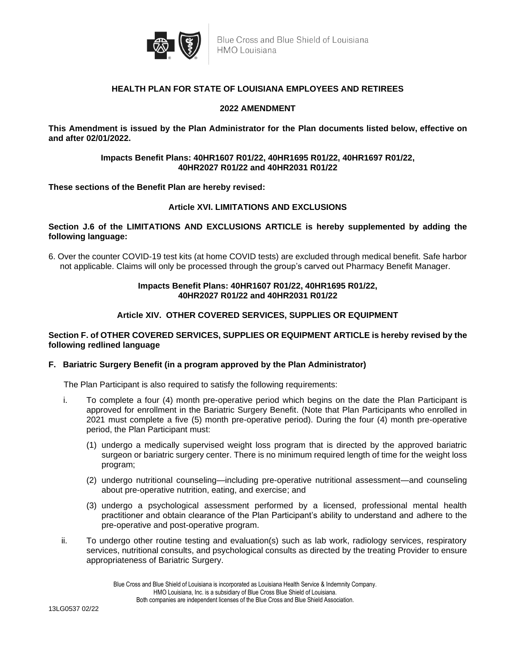

### **HEALTH PLAN FOR STATE OF LOUISIANA EMPLOYEES AND RETIREES**

## **2022 AMENDMENT**

**This Amendment is issued by the Plan Administrator for the Plan documents listed below, effective on and after 02/01/2022.**

#### **Impacts Benefit Plans: 40HR1607 R01/22, 40HR1695 R01/22, 40HR1697 R01/22, 40HR2027 R01/22 and 40HR2031 R01/22**

**These sections of the Benefit Plan are hereby revised:** 

#### **Article XVI. LIMITATIONS AND EXCLUSIONS**

**Section J.6 of the LIMITATIONS AND EXCLUSIONS ARTICLE is hereby supplemented by adding the following language:**

6. Over the counter COVID-19 test kits (at home COVID tests) are excluded through medical benefit. Safe harbor not applicable. Claims will only be processed through the group's carved out Pharmacy Benefit Manager.

## **Impacts Benefit Plans: 40HR1607 R01/22, 40HR1695 R01/22, 40HR2027 R01/22 and 40HR2031 R01/22**

## **Article XIV. OTHER COVERED SERVICES, SUPPLIES OR EQUIPMENT**

#### **Section F. of OTHER COVERED SERVICES, SUPPLIES OR EQUIPMENT ARTICLE is hereby revised by the following redlined language**

#### **F. Bariatric Surgery Benefit (in a program approved by the Plan Administrator)**

The Plan Participant is also required to satisfy the following requirements:

- i. To complete a four (4) month pre-operative period which begins on the date the Plan Participant is approved for enrollment in the Bariatric Surgery Benefit. (Note that Plan Participants who enrolled in 2021 must complete a five (5) month pre-operative period). During the four (4) month pre-operative period, the Plan Participant must:
	- (1) undergo a medically supervised weight loss program that is directed by the approved bariatric surgeon or bariatric surgery center. There is no minimum required length of time for the weight loss program;
	- (2) undergo nutritional counseling—including pre-operative nutritional assessment—and counseling about pre-operative nutrition, eating, and exercise; and
	- (3) undergo a psychological assessment performed by a licensed, professional mental health practitioner and obtain clearance of the Plan Participant's ability to understand and adhere to the pre-operative and post-operative program.
- ii. To undergo other routine testing and evaluation(s) such as lab work, radiology services, respiratory services, nutritional consults, and psychological consults as directed by the treating Provider to ensure appropriateness of Bariatric Surgery.

Blue Cross and Blue Shield of Louisiana is incorporated as Louisiana Health Service & Indemnity Company.<br>HMO Louisiana, Inc. is a subsidiary of Blue Cross Blue Shield of Louisiana.<br>Both companies are independent licenses o HMO Louisiana, Inc. is a subsidiary of Blue Cross Blue Shield of Louisiana. Both companies are independent licenses of the Blue Cross and Blue Shield Association.